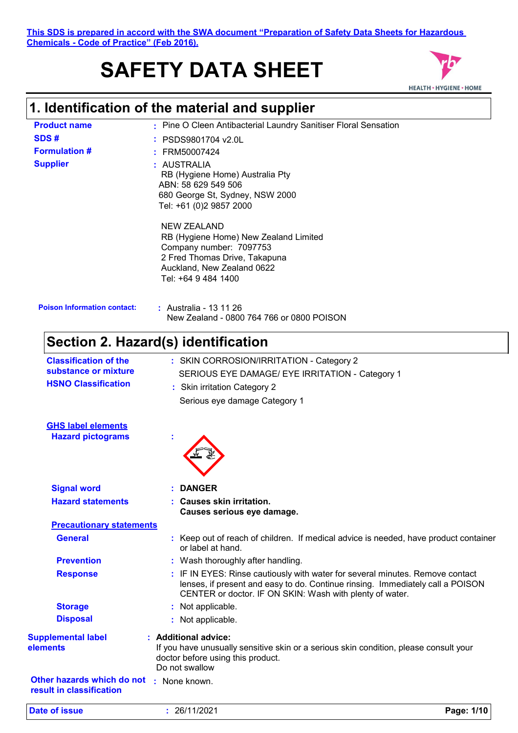**This SDS is prepared in accord with the SWA document "Preparation of Safety Data Sheets for Hazardous Chemicals - Code of Practice" (Feb 2016).**

# **SAFETY DATA SHEET**



# **1. Identification of the material and supplier**

| <b>Product name</b>                                    | : Pine O Cleen Antibacterial Laundry Sanitiser Floral Sensation                                                                                                                                                             |  |  |  |
|--------------------------------------------------------|-----------------------------------------------------------------------------------------------------------------------------------------------------------------------------------------------------------------------------|--|--|--|
| SDS#                                                   | PSDS9801704 v2.0L                                                                                                                                                                                                           |  |  |  |
| <b>Formulation #</b>                                   | FRM50007424                                                                                                                                                                                                                 |  |  |  |
| <b>Supplier</b>                                        | : AUSTRALIA<br>RB (Hygiene Home) Australia Pty<br>ABN: 58 629 549 506<br>680 George St, Sydney, NSW 2000<br>Tel: +61 (0)2 9857 2000                                                                                         |  |  |  |
|                                                        | <b>NEW ZEALAND</b><br>RB (Hygiene Home) New Zealand Limited<br>Company number: 7097753<br>2 Fred Thomas Drive, Takapuna<br>Auckland, New Zealand 0622<br>Tel: +64 9 484 1400                                                |  |  |  |
| <b>Poison Information contact:</b>                     | : Australia - 13 11 26<br>New Zealand - 0800 764 766 or 0800 POISON                                                                                                                                                         |  |  |  |
|                                                        | Section 2. Hazard(s) identification                                                                                                                                                                                         |  |  |  |
| <b>Classification of the</b>                           | : SKIN CORROSION/IRRITATION - Category 2                                                                                                                                                                                    |  |  |  |
| substance or mixture                                   | SERIOUS EYE DAMAGE/ EYE IRRITATION - Category 1                                                                                                                                                                             |  |  |  |
| <b>HSNO Classification</b>                             | : Skin irritation Category 2                                                                                                                                                                                                |  |  |  |
|                                                        | Serious eye damage Category 1                                                                                                                                                                                               |  |  |  |
| <b>GHS label elements</b><br><b>Hazard pictograms</b>  |                                                                                                                                                                                                                             |  |  |  |
| <b>Signal word</b>                                     | <b>DANGER</b>                                                                                                                                                                                                               |  |  |  |
| <b>Hazard statements</b>                               | : Causes skin irritation.<br>Causes serious eye damage.                                                                                                                                                                     |  |  |  |
| <b>Precautionary statements</b>                        |                                                                                                                                                                                                                             |  |  |  |
| <b>General</b>                                         | : Keep out of reach of children. If medical advice is needed, have product container<br>or label at hand.                                                                                                                   |  |  |  |
| <b>Prevention</b>                                      | : Wash thoroughly after handling.                                                                                                                                                                                           |  |  |  |
| <b>Response</b>                                        | : IF IN EYES: Rinse cautiously with water for several minutes. Remove contact<br>lenses, if present and easy to do. Continue rinsing. Immediately call a POISON<br>CENTER or doctor. IF ON SKIN: Wash with plenty of water. |  |  |  |
| <b>Storage</b>                                         | : Not applicable.                                                                                                                                                                                                           |  |  |  |
| <b>Disposal</b>                                        | : Not applicable.                                                                                                                                                                                                           |  |  |  |
| <b>Supplemental label</b><br>elements                  | : Additional advice:<br>If you have unusually sensitive skin or a serious skin condition, please consult your<br>doctor before using this product.<br>Do not swallow                                                        |  |  |  |
| Other hazards which do not<br>result in classification | : None known.                                                                                                                                                                                                               |  |  |  |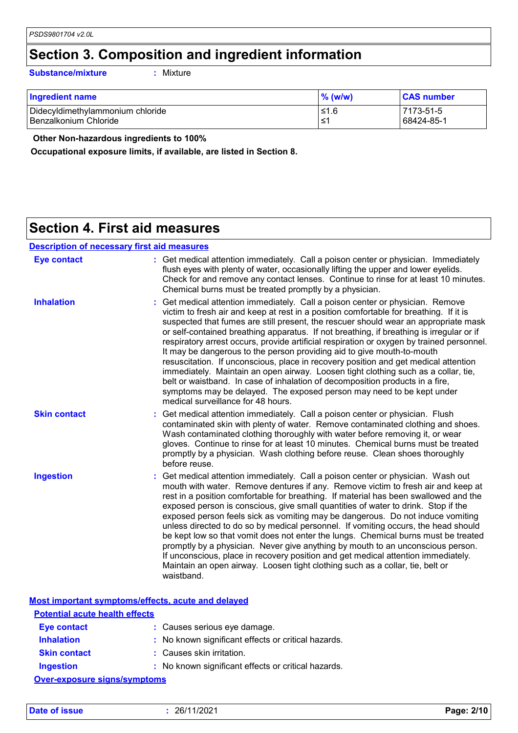### **Section 3. Composition and ingredient information**

**Substance/mixture :**

: Mixture

| Ingredient name                  | $%$ (w/w) | <b>CAS number</b> |
|----------------------------------|-----------|-------------------|
| Didecyldimethylammonium chloride | 1.6≥      | 7173-51-5         |
| Benzalkonium Chloride            | ≤1        | 68424-85-1        |

 **Other Non-hazardous ingredients to 100%**

**Occupational exposure limits, if available, are listed in Section 8.**

### **Section 4. First aid measures**

| <b>Eye contact</b>  | : Get medical attention immediately. Call a poison center or physician. Immediately<br>flush eyes with plenty of water, occasionally lifting the upper and lower eyelids.<br>Check for and remove any contact lenses. Continue to rinse for at least 10 minutes.<br>Chemical burns must be treated promptly by a physician.                                                                                                                                                                                                                                                                                                                                                                                                                                                                                                                                                                                     |
|---------------------|-----------------------------------------------------------------------------------------------------------------------------------------------------------------------------------------------------------------------------------------------------------------------------------------------------------------------------------------------------------------------------------------------------------------------------------------------------------------------------------------------------------------------------------------------------------------------------------------------------------------------------------------------------------------------------------------------------------------------------------------------------------------------------------------------------------------------------------------------------------------------------------------------------------------|
| <b>Inhalation</b>   | : Get medical attention immediately. Call a poison center or physician. Remove<br>victim to fresh air and keep at rest in a position comfortable for breathing. If it is<br>suspected that fumes are still present, the rescuer should wear an appropriate mask<br>or self-contained breathing apparatus. If not breathing, if breathing is irregular or if<br>respiratory arrest occurs, provide artificial respiration or oxygen by trained personnel.<br>It may be dangerous to the person providing aid to give mouth-to-mouth<br>resuscitation. If unconscious, place in recovery position and get medical attention<br>immediately. Maintain an open airway. Loosen tight clothing such as a collar, tie,<br>belt or waistband. In case of inhalation of decomposition products in a fire,<br>symptoms may be delayed. The exposed person may need to be kept under<br>medical surveillance for 48 hours. |
| <b>Skin contact</b> | : Get medical attention immediately. Call a poison center or physician. Flush<br>contaminated skin with plenty of water. Remove contaminated clothing and shoes.<br>Wash contaminated clothing thoroughly with water before removing it, or wear<br>gloves. Continue to rinse for at least 10 minutes. Chemical burns must be treated<br>promptly by a physician. Wash clothing before reuse. Clean shoes thoroughly<br>before reuse.                                                                                                                                                                                                                                                                                                                                                                                                                                                                           |
| <b>Ingestion</b>    | : Get medical attention immediately. Call a poison center or physician. Wash out<br>mouth with water. Remove dentures if any. Remove victim to fresh air and keep at<br>rest in a position comfortable for breathing. If material has been swallowed and the<br>exposed person is conscious, give small quantities of water to drink. Stop if the<br>exposed person feels sick as vomiting may be dangerous. Do not induce vomiting<br>unless directed to do so by medical personnel. If vomiting occurs, the head should<br>be kept low so that vomit does not enter the lungs. Chemical burns must be treated<br>promptly by a physician. Never give anything by mouth to an unconscious person.<br>If unconscious, place in recovery position and get medical attention immediately.<br>Maintain an open airway. Loosen tight clothing such as a collar, tie, belt or<br>waistband.                          |

**Most important symptoms/effects, acute and delayed**

| <b>Potential acute health effects</b> |                                                     |  |
|---------------------------------------|-----------------------------------------------------|--|
| Eye contact                           | : Causes serious eye damage.                        |  |
| <b>Inhalation</b>                     | : No known significant effects or critical hazards. |  |
| <b>Skin contact</b>                   | : Causes skin irritation.                           |  |
| <b>Ingestion</b>                      | : No known significant effects or critical hazards. |  |
| <b>Over-exposure signs/symptoms</b>   |                                                     |  |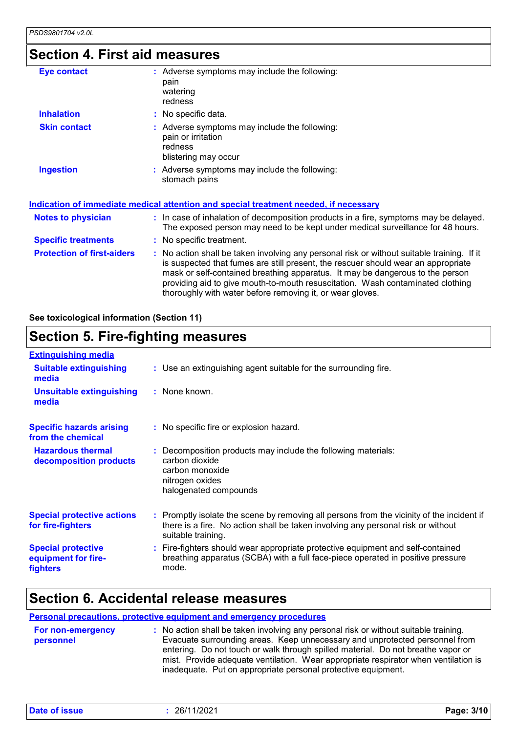### **Section 4. First aid measures**

| <b>Eye contact</b>                | : Adverse symptoms may include the following:<br>pain<br>watering<br>redness                                                                                                                                                                                                                                                                                                                                    |
|-----------------------------------|-----------------------------------------------------------------------------------------------------------------------------------------------------------------------------------------------------------------------------------------------------------------------------------------------------------------------------------------------------------------------------------------------------------------|
| <b>Inhalation</b>                 | : No specific data.                                                                                                                                                                                                                                                                                                                                                                                             |
| <b>Skin contact</b>               | : Adverse symptoms may include the following:<br>pain or irritation<br>redness<br>blistering may occur                                                                                                                                                                                                                                                                                                          |
| <b>Ingestion</b>                  | : Adverse symptoms may include the following:<br>stomach pains                                                                                                                                                                                                                                                                                                                                                  |
|                                   | <u>Indication of immediate medical attention and special treatment needed, if necessary</u>                                                                                                                                                                                                                                                                                                                     |
| <b>Notes to physician</b>         | : In case of inhalation of decomposition products in a fire, symptoms may be delayed.<br>The exposed person may need to be kept under medical surveillance for 48 hours.                                                                                                                                                                                                                                        |
| <b>Specific treatments</b>        | : No specific treatment.                                                                                                                                                                                                                                                                                                                                                                                        |
| <b>Protection of first-aiders</b> | : No action shall be taken involving any personal risk or without suitable training. If it<br>is suspected that fumes are still present, the rescuer should wear an appropriate<br>mask or self-contained breathing apparatus. It may be dangerous to the person<br>providing aid to give mouth-to-mouth resuscitation. Wash contaminated clothing<br>thoroughly with water before removing it, or wear gloves. |

**See toxicological information (Section 11)**

### **Section 5. Fire-fighting measures**

| <b>Extinguishing media</b>                                   |                                                                                                                                                                                                     |
|--------------------------------------------------------------|-----------------------------------------------------------------------------------------------------------------------------------------------------------------------------------------------------|
| <b>Suitable extinguishing</b><br>media                       | : Use an extinguishing agent suitable for the surrounding fire.                                                                                                                                     |
| <b>Unsuitable extinguishing</b><br>media                     | : None known.                                                                                                                                                                                       |
| <b>Specific hazards arising</b><br>from the chemical         | : No specific fire or explosion hazard.                                                                                                                                                             |
| <b>Hazardous thermal</b><br>decomposition products           | : Decomposition products may include the following materials:<br>carbon dioxide<br>carbon monoxide<br>nitrogen oxides<br>halogenated compounds                                                      |
| <b>Special protective actions</b><br>for fire-fighters       | : Promptly isolate the scene by removing all persons from the vicinity of the incident if<br>there is a fire. No action shall be taken involving any personal risk or without<br>suitable training. |
| <b>Special protective</b><br>equipment for fire-<br>fighters | : Fire-fighters should wear appropriate protective equipment and self-contained<br>breathing apparatus (SCBA) with a full face-piece operated in positive pressure<br>mode.                         |

### **Section 6. Accidental release measures**

#### **Personal precautions, protective equipment and emergency procedures**

| For non-emergency | : No action shall be taken involving any personal risk or without suitable training. |
|-------------------|--------------------------------------------------------------------------------------|
| personnel         | Evacuate surrounding areas. Keep unnecessary and unprotected personnel from          |
|                   | entering. Do not touch or walk through spilled material. Do not breathe vapor or     |
|                   | mist. Provide adequate ventilation. Wear appropriate respirator when ventilation is  |
|                   | inadequate. Put on appropriate personal protective equipment.                        |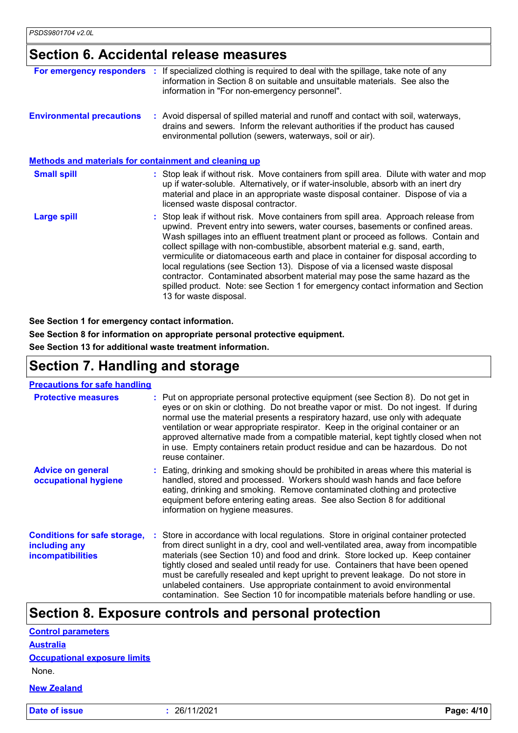### **Section 6. Accidental release measures**

| For emergency responders                              | : If specialized clothing is required to deal with the spillage, take note of any<br>information in Section 8 on suitable and unsuitable materials. See also the<br>information in "For non-emergency personnel".                                                                                                                                                                                                                                                                                                                                                                                                                                                                                               |
|-------------------------------------------------------|-----------------------------------------------------------------------------------------------------------------------------------------------------------------------------------------------------------------------------------------------------------------------------------------------------------------------------------------------------------------------------------------------------------------------------------------------------------------------------------------------------------------------------------------------------------------------------------------------------------------------------------------------------------------------------------------------------------------|
| <b>Environmental precautions</b>                      | : Avoid dispersal of spilled material and runoff and contact with soil, waterways,<br>drains and sewers. Inform the relevant authorities if the product has caused<br>environmental pollution (sewers, waterways, soil or air).                                                                                                                                                                                                                                                                                                                                                                                                                                                                                 |
| Methods and materials for containment and cleaning up |                                                                                                                                                                                                                                                                                                                                                                                                                                                                                                                                                                                                                                                                                                                 |
| <b>Small spill</b>                                    | : Stop leak if without risk. Move containers from spill area. Dilute with water and mop<br>up if water-soluble. Alternatively, or if water-insoluble, absorb with an inert dry<br>material and place in an appropriate waste disposal container. Dispose of via a<br>licensed waste disposal contractor.                                                                                                                                                                                                                                                                                                                                                                                                        |
| <b>Large spill</b>                                    | : Stop leak if without risk. Move containers from spill area. Approach release from<br>upwind. Prevent entry into sewers, water courses, basements or confined areas.<br>Wash spillages into an effluent treatment plant or proceed as follows. Contain and<br>collect spillage with non-combustible, absorbent material e.g. sand, earth,<br>vermiculite or diatomaceous earth and place in container for disposal according to<br>local regulations (see Section 13). Dispose of via a licensed waste disposal<br>contractor. Contaminated absorbent material may pose the same hazard as the<br>spilled product. Note: see Section 1 for emergency contact information and Section<br>13 for waste disposal. |

#### **See Section 1 for emergency contact information.**

**See Section 8 for information on appropriate personal protective equipment. See Section 13 for additional waste treatment information.**

### **Section 7. Handling and storage**

| <b>Precautions for safe handling</b>                                             |                                                                                                                                                                                                                                                                                                                                                                                                                                                                                                                                                                                                     |
|----------------------------------------------------------------------------------|-----------------------------------------------------------------------------------------------------------------------------------------------------------------------------------------------------------------------------------------------------------------------------------------------------------------------------------------------------------------------------------------------------------------------------------------------------------------------------------------------------------------------------------------------------------------------------------------------------|
| <b>Protective measures</b>                                                       | : Put on appropriate personal protective equipment (see Section 8). Do not get in<br>eyes or on skin or clothing. Do not breathe vapor or mist. Do not ingest. If during<br>normal use the material presents a respiratory hazard, use only with adequate<br>ventilation or wear appropriate respirator. Keep in the original container or an<br>approved alternative made from a compatible material, kept tightly closed when not<br>in use. Empty containers retain product residue and can be hazardous. Do not<br>reuse container.                                                             |
| <b>Advice on general</b><br>occupational hygiene                                 | : Eating, drinking and smoking should be prohibited in areas where this material is<br>handled, stored and processed. Workers should wash hands and face before<br>eating, drinking and smoking. Remove contaminated clothing and protective<br>equipment before entering eating areas. See also Section 8 for additional<br>information on hygiene measures.                                                                                                                                                                                                                                       |
| <b>Conditions for safe storage,</b><br>including any<br><i>incompatibilities</i> | : Store in accordance with local regulations. Store in original container protected<br>from direct sunlight in a dry, cool and well-ventilated area, away from incompatible<br>materials (see Section 10) and food and drink. Store locked up. Keep container<br>tightly closed and sealed until ready for use. Containers that have been opened<br>must be carefully resealed and kept upright to prevent leakage. Do not store in<br>unlabeled containers. Use appropriate containment to avoid environmental<br>contamination. See Section 10 for incompatible materials before handling or use. |

### **Section 8. Exposure controls and personal protection**

| <b>Control parameters</b>           |
|-------------------------------------|
| Australia                           |
| <b>Occupational exposure limits</b> |
| None.                               |
| <b>New Zealand</b>                  |

**Date of issue :** 26/11/2021 **Page: 4/10**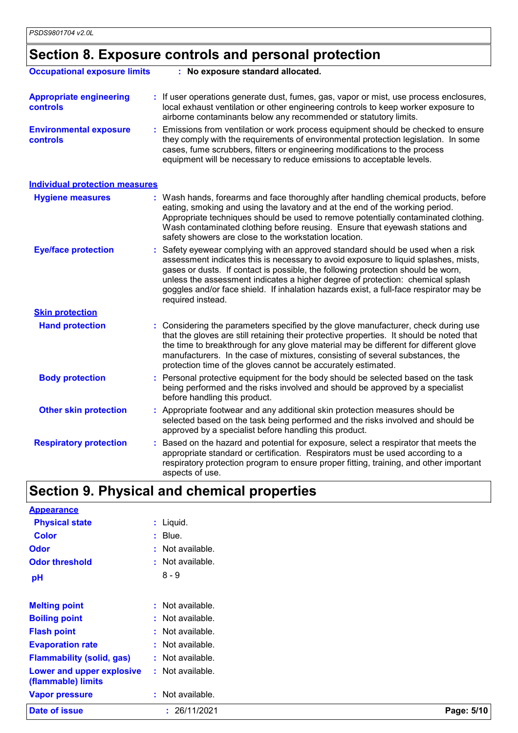## **Section 8. Exposure controls and personal protection**

| <b>Occupational exposure limits</b>               | : No exposure standard allocated.                                                                                                                                                                                                                                                                                                                                                                                                                         |
|---------------------------------------------------|-----------------------------------------------------------------------------------------------------------------------------------------------------------------------------------------------------------------------------------------------------------------------------------------------------------------------------------------------------------------------------------------------------------------------------------------------------------|
| <b>Appropriate engineering</b><br><b>controls</b> | : If user operations generate dust, fumes, gas, vapor or mist, use process enclosures,<br>local exhaust ventilation or other engineering controls to keep worker exposure to<br>airborne contaminants below any recommended or statutory limits.                                                                                                                                                                                                          |
| <b>Environmental exposure</b><br>controls         | Emissions from ventilation or work process equipment should be checked to ensure<br>they comply with the requirements of environmental protection legislation. In some<br>cases, fume scrubbers, filters or engineering modifications to the process<br>equipment will be necessary to reduce emissions to acceptable levels.                                                                                                                             |
| <b>Individual protection measures</b>             |                                                                                                                                                                                                                                                                                                                                                                                                                                                           |
| <b>Hygiene measures</b>                           | : Wash hands, forearms and face thoroughly after handling chemical products, before<br>eating, smoking and using the lavatory and at the end of the working period.<br>Appropriate techniques should be used to remove potentially contaminated clothing.<br>Wash contaminated clothing before reusing. Ensure that eyewash stations and<br>safety showers are close to the workstation location.                                                         |
| <b>Eye/face protection</b>                        | Safety eyewear complying with an approved standard should be used when a risk<br>assessment indicates this is necessary to avoid exposure to liquid splashes, mists,<br>gases or dusts. If contact is possible, the following protection should be worn,<br>unless the assessment indicates a higher degree of protection: chemical splash<br>goggles and/or face shield. If inhalation hazards exist, a full-face respirator may be<br>required instead. |
| <b>Skin protection</b>                            |                                                                                                                                                                                                                                                                                                                                                                                                                                                           |
| <b>Hand protection</b>                            | : Considering the parameters specified by the glove manufacturer, check during use<br>that the gloves are still retaining their protective properties. It should be noted that<br>the time to breakthrough for any glove material may be different for different glove<br>manufacturers. In the case of mixtures, consisting of several substances, the<br>protection time of the gloves cannot be accurately estimated.                                  |
| <b>Body protection</b>                            | : Personal protective equipment for the body should be selected based on the task<br>being performed and the risks involved and should be approved by a specialist<br>before handling this product.                                                                                                                                                                                                                                                       |
| <b>Other skin protection</b>                      | : Appropriate footwear and any additional skin protection measures should be<br>selected based on the task being performed and the risks involved and should be<br>approved by a specialist before handling this product.                                                                                                                                                                                                                                 |
| <b>Respiratory protection</b>                     | Based on the hazard and potential for exposure, select a respirator that meets the<br>appropriate standard or certification. Respirators must be used according to a<br>respiratory protection program to ensure proper fitting, training, and other important<br>aspects of use.                                                                                                                                                                         |
|                                                   | <b>Section 9. Physical and chemical properties</b>                                                                                                                                                                                                                                                                                                                                                                                                        |
| <b>Appearance</b>                                 |                                                                                                                                                                                                                                                                                                                                                                                                                                                           |

| Date of issue                                   | : 26/11/2021       | Page: 5/10 |
|-------------------------------------------------|--------------------|------------|
| <b>Vapor pressure</b>                           | : Not available.   |            |
| Lower and upper explosive<br>(flammable) limits | : Not available.   |            |
| <b>Flammability (solid, gas)</b>                | : Not available.   |            |
| <b>Evaporation rate</b>                         | : Not available.   |            |
| <b>Flash point</b>                              | : Not available.   |            |
| <b>Boiling point</b>                            | : Not available.   |            |
| <b>Melting point</b>                            | $:$ Not available. |            |
| pH                                              | $8 - 9$            |            |
| <b>Odor threshold</b>                           | : Not available.   |            |
| <b>Odor</b>                                     | : Not available.   |            |
| <b>Color</b>                                    | $:$ Blue.          |            |
| <b>Physical state</b>                           | $:$ Liquid.        |            |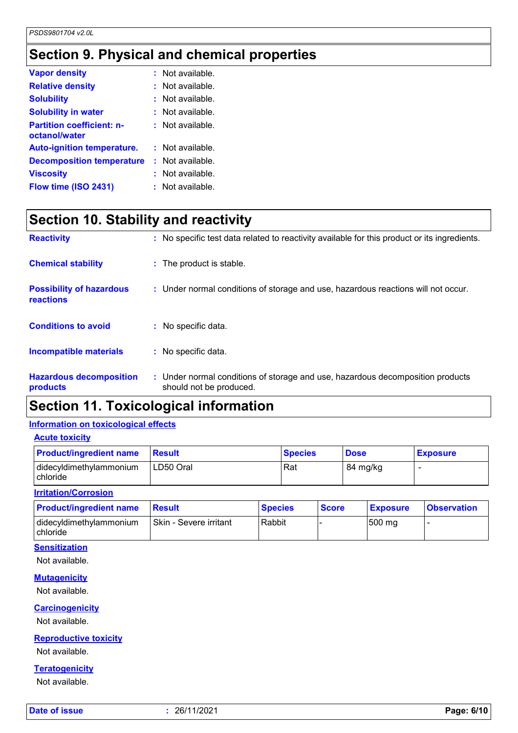### **Section 9. Physical and chemical properties**

| <b>Vapor density</b>                              | $:$ Not available. |
|---------------------------------------------------|--------------------|
| <b>Relative density</b>                           | : Not available.   |
| <b>Solubility</b>                                 | $:$ Not available. |
| <b>Solubility in water</b>                        | $:$ Not available. |
| <b>Partition coefficient: n-</b><br>octanol/water | $:$ Not available. |
| <b>Auto-ignition temperature.</b>                 | : Not available.   |
| <b>Decomposition temperature</b>                  | : Not available.   |
| <b>Viscosity</b>                                  | Not available.     |
| Flow time (ISO 2431)                              | : Not available.   |

### **Section 10. Stability and reactivity**

| <b>Reactivity</b>                            | : No specific test data related to reactivity available for this product or its ingredients.              |
|----------------------------------------------|-----------------------------------------------------------------------------------------------------------|
| <b>Chemical stability</b>                    | : The product is stable.                                                                                  |
| <b>Possibility of hazardous</b><br>reactions | : Under normal conditions of storage and use, hazardous reactions will not occur.                         |
| <b>Conditions to avoid</b>                   | : No specific data.                                                                                       |
| <b>Incompatible materials</b>                | : No specific data.                                                                                       |
| <b>Hazardous decomposition</b><br>products   | : Under normal conditions of storage and use, hazardous decomposition products<br>should not be produced. |

### **Section 11. Toxicological information**

### **Information on toxicological effects**

| <b>Product/ingredient name</b>             | <b>Result</b> | <b>Species</b> | <b>Dose</b> | <b>Exposure</b> |
|--------------------------------------------|---------------|----------------|-------------|-----------------|
| didecyldimethylammonium<br><b>chloride</b> | LD50 Oral     | Rat            | 84 mg/kg    |                 |

#### **Irritation/Corrosion**

| <b>Product/ingredient name</b>               | Result                 | <b>Species</b> | <b>Score</b> | <b>Exposure</b> | <b>Observation</b> |
|----------------------------------------------|------------------------|----------------|--------------|-----------------|--------------------|
| didecyldimethylammonium<br><b>I</b> chloride | Skin - Severe irritant | Rabbit         |              | 500 mg          |                    |

#### **Sensitization**

Not available.

#### **Mutagenicity**

Not available.

#### **Carcinogenicity**

Not available.

#### **Reproductive toxicity**

Not available.

#### **Teratogenicity**

Not available.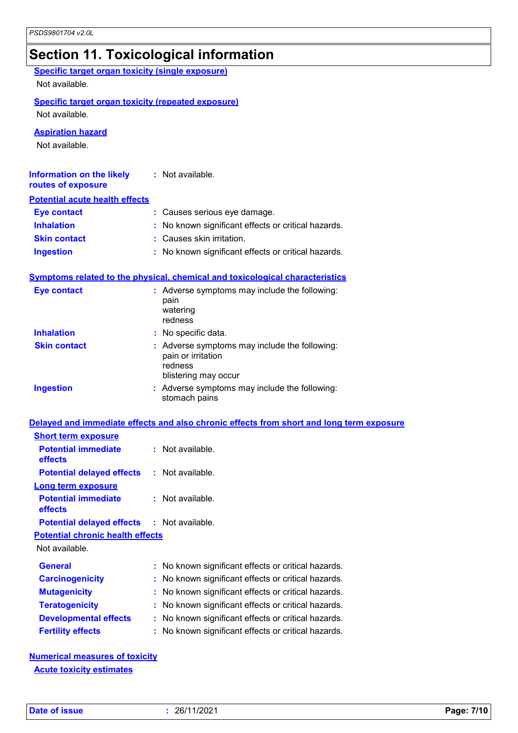### **Section 11. Toxicological information**

| <b>Specific target organ toxicity (single exposure)</b><br>Not available.   |                                                                                                        |
|-----------------------------------------------------------------------------|--------------------------------------------------------------------------------------------------------|
| <b>Specific target organ toxicity (repeated exposure)</b><br>Not available. |                                                                                                        |
| <b>Aspiration hazard</b><br>Not available.                                  |                                                                                                        |
| <b>Information on the likely</b><br>routes of exposure                      | : Not available.                                                                                       |
| <b>Potential acute health effects</b>                                       |                                                                                                        |
| <b>Eye contact</b>                                                          | : Causes serious eye damage.                                                                           |
| <b>Inhalation</b>                                                           | : No known significant effects or critical hazards.                                                    |
| <b>Skin contact</b>                                                         | : Causes skin irritation.                                                                              |
| <b>Ingestion</b>                                                            | : No known significant effects or critical hazards.                                                    |
|                                                                             | <b>Symptoms related to the physical, chemical and toxicological characteristics</b>                    |
| <b>Eye contact</b>                                                          | : Adverse symptoms may include the following:<br>pain<br>watering<br>redness                           |
| <b>Inhalation</b>                                                           | : No specific data.                                                                                    |
| <b>Skin contact</b>                                                         | : Adverse symptoms may include the following:<br>pain or irritation<br>redness<br>blistering may occur |
| <b>Ingestion</b>                                                            | : Adverse symptoms may include the following:<br>stomach pains                                         |
|                                                                             | Delayed and immediate effects and also chronic effects from short and long term exposure               |
| <b>Short term exposure</b>                                                  |                                                                                                        |
| <b>Potential immediate</b><br>effects                                       | : Not available                                                                                        |
| <b>Potential delayed effects</b>                                            | Not available.<br>t.                                                                                   |
| Long term exposure<br><b>Potential immediate</b><br>effects                 | : Not available.                                                                                       |
| <b>Potential delayed effects</b>                                            | : Not available.                                                                                       |
| <b>Potential chronic health effects</b>                                     |                                                                                                        |
| Not available.                                                              |                                                                                                        |
| <b>General</b>                                                              | No known significant effects or critical hazards.                                                      |
| <b>Carcinogenicity</b>                                                      | No known significant effects or critical hazards.                                                      |
| <b>Mutagenicity</b>                                                         | No known significant effects or critical hazards.                                                      |
| <b>Teratogenicity</b>                                                       | No known significant effects or critical hazards.                                                      |
| <b>Developmental effects</b>                                                | No known significant effects or critical hazards.                                                      |
| <b>Fertility effects</b>                                                    | No known significant effects or critical hazards.                                                      |
|                                                                             |                                                                                                        |

**Numerical measures of toxicity Acute toxicity estimates**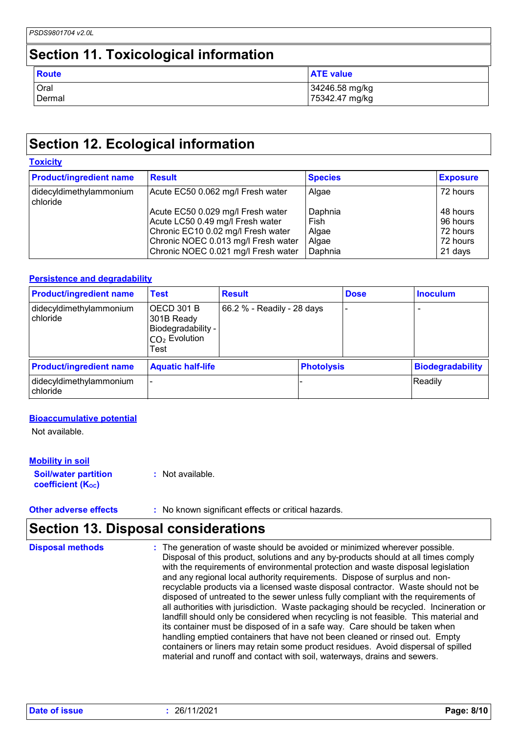### **Section 11. Toxicological information**

| Route  | <b>ATE value</b> |
|--------|------------------|
| Oral   | 34246.58 mg/kg   |
| Dermal | 75342.47 mg/kg   |

### **Section 12. Ecological information**

#### **Toxicity**

| <b>Product/ingredient name</b>      | <b>Result</b>                                                                                                                                                                             | <b>Species</b>                               | <b>Exposure</b>                                         |
|-------------------------------------|-------------------------------------------------------------------------------------------------------------------------------------------------------------------------------------------|----------------------------------------------|---------------------------------------------------------|
| didecyldimethylammonium<br>chloride | Acute EC50 0.062 mg/l Fresh water                                                                                                                                                         | Algae                                        | 72 hours                                                |
|                                     | Acute EC50 0.029 mg/l Fresh water<br>Acute LC50 0.49 mg/l Fresh water<br>Chronic EC10 0.02 mg/l Fresh water<br>Chronic NOEC 0.013 mg/l Fresh water<br>Chronic NOEC 0.021 mg/l Fresh water | Daphnia<br>Fish<br>Algae<br>Algae<br>Daphnia | 48 hours<br>96 hours<br>72 hours<br>72 hours<br>21 days |

#### **Persistence and degradability**

| <b>Product/ingredient name</b>      | <b>Test</b>                                                                           | <b>Result</b>              |                   | <b>Dose</b> | <b>Inoculum</b>          |
|-------------------------------------|---------------------------------------------------------------------------------------|----------------------------|-------------------|-------------|--------------------------|
| didecyldimethylammonium<br>chloride | IOECD 301 B<br>301B Ready<br>Biodegradability -<br>I <sub>CO2</sub> Evolution<br>Test | 66.2 % - Readily - 28 days |                   | -           | $\overline{\phantom{0}}$ |
| <b>Product/ingredient name</b>      | <b>Aquatic half-life</b>                                                              |                            | <b>Photolysis</b> |             | <b>Biodegradability</b>  |
| didecyldimethylammonium<br>chloride |                                                                                       |                            |                   |             | Readily                  |

#### **Bioaccumulative potential**

Not available.

#### **Mobility in soil**

**Soil/water partition coefficient (Koc) :** Not available.

**Other adverse effects** : No known significant effects or critical hazards.

### **Section 13. Disposal considerations**

| <b>Disposal methods</b> | : The generation of waste should be avoided or minimized wherever possible.<br>Disposal of this product, solutions and any by-products should at all times comply<br>with the requirements of environmental protection and waste disposal legislation<br>and any regional local authority requirements. Dispose of surplus and non-<br>recyclable products via a licensed waste disposal contractor. Waste should not be<br>disposed of untreated to the sewer unless fully compliant with the requirements of<br>all authorities with jurisdiction. Waste packaging should be recycled. Incineration or<br>landfill should only be considered when recycling is not feasible. This material and<br>its container must be disposed of in a safe way. Care should be taken when<br>handling emptied containers that have not been cleaned or rinsed out. Empty<br>containers or liners may retain some product residues. Avoid dispersal of spilled |
|-------------------------|----------------------------------------------------------------------------------------------------------------------------------------------------------------------------------------------------------------------------------------------------------------------------------------------------------------------------------------------------------------------------------------------------------------------------------------------------------------------------------------------------------------------------------------------------------------------------------------------------------------------------------------------------------------------------------------------------------------------------------------------------------------------------------------------------------------------------------------------------------------------------------------------------------------------------------------------------|
|                         | material and runoff and contact with soil, waterways, drains and sewers.                                                                                                                                                                                                                                                                                                                                                                                                                                                                                                                                                                                                                                                                                                                                                                                                                                                                           |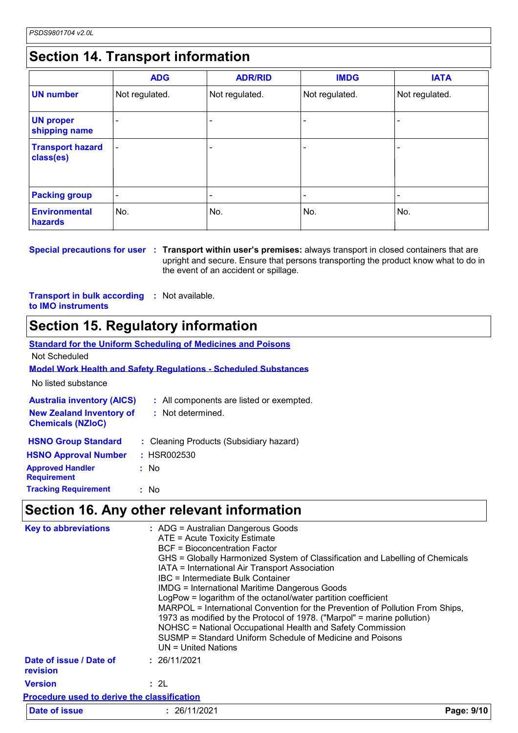### **Section 14. Transport information**

|                                      | <b>ADG</b>               | <b>ADR/RID</b> | <b>IMDG</b>    | <b>IATA</b>              |
|--------------------------------------|--------------------------|----------------|----------------|--------------------------|
| <b>UN number</b>                     | Not regulated.           | Not regulated. | Not regulated. | Not regulated.           |
| <b>UN proper</b><br>shipping name    |                          |                |                |                          |
| <b>Transport hazard</b><br>class(es) | $\overline{a}$           |                |                | $\overline{\phantom{0}}$ |
| <b>Packing group</b>                 | $\overline{\phantom{a}}$ |                |                |                          |
| <b>Environmental</b><br>hazards      | No.                      | No.            | No.            | ∣No.                     |

**Special precautions for user : Transport within user's premises:** always transport in closed containers that are upright and secure. Ensure that persons transporting the product know what to do in the event of an accident or spillage.

**Transport in bulk according :** Not available. **to IMO instruments**

### **Section 15. Regulatory information**

|                                   | <b>Standard for the Uniform Scheduling of Medicines and Poisons</b>    |
|-----------------------------------|------------------------------------------------------------------------|
| Not Scheduled                     |                                                                        |
|                                   | <b>Model Work Health and Safety Requiations - Scheduled Substances</b> |
| No listed substance               |                                                                        |
| <b>Australia inventory (AICS)</b> | : All components are listed or exempted.                               |
| <b>New Zealand Inventory of</b>   | : Not determined.                                                      |
| <b>Chemicals (NZIoC)</b>          |                                                                        |
| <b>HSNO Group Standard</b>        | : Cleaning Products (Subsidiary hazard)                                |
| <b>HSNO Approval Number</b>       | : HSR002530                                                            |
| <b>Approved Handler</b>           | : No                                                                   |
| <b>Requirement</b>                |                                                                        |
| <b>Tracking Requirement</b>       | : No                                                                   |
|                                   |                                                                        |

### **Section 16. Any other relevant information**

|                                             | Section 16. Any other relevant information                                                                                                                                                                                                                                                                                                                                                                                                                                                                                                                                                                                                                                                                                 |            |
|---------------------------------------------|----------------------------------------------------------------------------------------------------------------------------------------------------------------------------------------------------------------------------------------------------------------------------------------------------------------------------------------------------------------------------------------------------------------------------------------------------------------------------------------------------------------------------------------------------------------------------------------------------------------------------------------------------------------------------------------------------------------------------|------------|
|                                             |                                                                                                                                                                                                                                                                                                                                                                                                                                                                                                                                                                                                                                                                                                                            |            |
| <b>Key to abbreviations</b>                 | : ADG = Australian Dangerous Goods<br>ATE = Acute Toxicity Estimate<br><b>BCF</b> = Bioconcentration Factor<br>GHS = Globally Harmonized System of Classification and Labelling of Chemicals<br>IATA = International Air Transport Association<br>IBC = Intermediate Bulk Container<br><b>IMDG = International Maritime Dangerous Goods</b><br>LogPow = logarithm of the octanol/water partition coefficient<br>MARPOL = International Convention for the Prevention of Pollution From Ships,<br>1973 as modified by the Protocol of 1978. ("Marpol" = marine pollution)<br>NOHSC = National Occupational Health and Safety Commission<br>SUSMP = Standard Uniform Schedule of Medicine and Poisons<br>UN = United Nations |            |
| Date of issue / Date of<br>revision         | : 26/11/2021                                                                                                                                                                                                                                                                                                                                                                                                                                                                                                                                                                                                                                                                                                               |            |
| <b>Version</b>                              | : 2L                                                                                                                                                                                                                                                                                                                                                                                                                                                                                                                                                                                                                                                                                                                       |            |
| Procedure used to derive the classification |                                                                                                                                                                                                                                                                                                                                                                                                                                                                                                                                                                                                                                                                                                                            |            |
| Date of issue                               | : 26/11/2021                                                                                                                                                                                                                                                                                                                                                                                                                                                                                                                                                                                                                                                                                                               | Page: 9/10 |